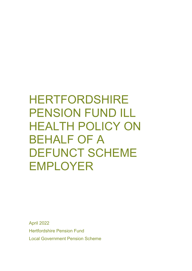# HERTFORDSHIRE PENSION FUND ILL HEALTH POLICY ON BEHALF OF A DEFUNCT SCHEME EMPLOYER

April 2022 Hertfordshire Pension Fund Local Government Pension Scheme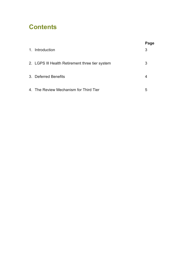# **Contents**

|                                                 | Page |
|-------------------------------------------------|------|
| 1. Introduction                                 | 3    |
| 2. LGPS III Health Retirement three tier system | 3    |
| 3. Deferred Benefits                            | 4    |
| 4. The Review Mechanism for Third Tier          | 5    |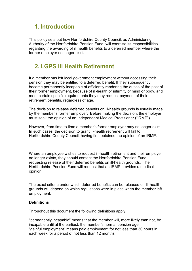# **1. Introduction**

This policy sets out how Hertfordshire County Council, as Administering Authority of the Hertfordshire Pension Fund, will exercise its responsibilities regarding the awarding of ill health benefits to a deferred member where the former employer no longer exists.

# **2. LGPS Ill Health Retirement**

If a member has left local government employment without accessing their pension they may be entitled to a deferred benefit. If they subsequently become permanently incapable of efficiently rendering the duties of the post of their former employment, because of ill-health or infirmity of mind or body, and meet certain specific requirements they may request payment of their retirement benefits, regardless of age.

The decision to release deferred benefits on ill-health grounds is usually made by the member's former employer. Before making the decision, the employer must seek the opinion of an Independent Medical Practitioner ("IRMP").

However, from time to time a member's former employer may no longer exist. In such cases, the decision to grant ill-health retirement will fall to Hertfordshire County Council, having first obtained the opinion of an IRMP.

Where an employee wishes to request ill-health retirement and their employer no longer exists, they should contact the Hertfordshire Pension Fund requesting release of their deferred benefits on ill-health grounds. The Hertfordshire Pension Fund will request that an IRMP provides a medical opinion,

The exact criteria under which deferred benefits can be released on Ill-health grounds will depend on which regulations were in place when the member left employment.

## **Definitions**

Throughout this document the following definitions apply;

"permanently incapable" means that the member will, more likely than not, be incapable until at the earliest, the member's normal pension age "gainful employment" means paid employment for not less than 30 hours in each week for a period of not less than 12 months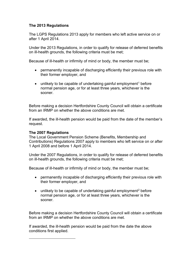# **The 2013 Regulations**

The LGPS Regulations 2013 apply for members who left active service on or after 1 April 2014.

Under the 2013 Regulations, in order to qualify for release of deferred benefits on ill-health grounds, the following criteria must be met;

Because of ill-health or infirmity of mind or body, the member must be;

- permanently incapable of discharging efficiently their previous role with their former employer, and
- unlikely to be capable of undertaking gainful employment<sup>1</sup> before normal pension age, or for at least three years, whichever is the sooner.

Before making a decision Hertfordshire County Council will obtain a certificate from an IRMP on whether the above conditions are met.

If awarded, the ill-health pension would be paid from the date of the member's request.

## **The 2007 Regulations**

The Local Government Pension Scheme (Benefits, Membership and Contributions) Regulations 2007 apply to members who left service on or after 1 April 2008 and before 1 April 2014.

Under the 2007 Regulations, in order to qualify for release of deferred benefits on ill-health grounds, the following criteria must be met;

Because of ill-health or infirmity of mind or body, the member must be;

- permanently incapable of discharging efficiently their previous role with their former employer, and
- unlikely to be capable of undertaking gainful employment<sup>2</sup> before normal pension age, or for at least three years, whichever is the sooner.

Before making a decision Hertfordshire County Council will obtain a certificate from an IRMP on whether the above conditions are met.

<span id="page-3-1"></span><span id="page-3-0"></span>If awarded, the ill-health pension would be paid from the date the above conditions first applied.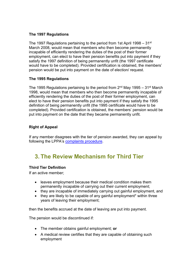# **The 1997 Regulations**

The 1997 Regulations pertaining to the period from 1st April 1998 – 31 $\mathrm{^{st}}$ March 2008, would mean that members who then become permanently incapable of efficiently rendering the duties of the post of their former employment, can elect to have their pension benefits put into payment if they satisfy the 1997 definition of being permanently unfit (the 1997 certificate would have to be completed). Provided certification is obtained, the members' pension would be put into payment on the date of election/ request.

# **The 1995 Regulations**

The 1995 Regulations pertaining to the period from  $2<sup>nd</sup>$  May 1995 – 31<sup>st</sup> March 1998, would mean that members who then become permanently incapable of efficiently rendering the duties of the post of their former employment, can elect to have their pension benefits put into payment if they satisfy the 1995 definition of being permanently unfit (the 1995 certificate would have to be completed). Provided certification is obtained, the members' pension would be put into payment on the date that they became permanently unfit.

# **Right of Appeal**

If any member disagrees with the tier of pension awarded, they can appeal by following the LPPA's [complaints procedure.](https://www.lppapensions.co.uk/customer-care/complaints-procedure/)

# **3. The Review Mechanism for Third Tier**

# **Third Tier Definition**

If an active member;

- leaves employment because their medical condition makes them permanently incapable of carrying out their current employment;
- they are incapable of immediately carrying out gainful employment, and
- they are likely to be capable of any gainful employment<sup>\*</sup> within three years of leaving their employment;

then the benefits accrued at the date of leaving are put into payment.

The pension would be discontinued if:

- The member obtains gainful employment; **or**
- A medical review certifies that they are capable of obtaining such employment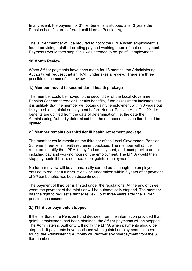In any event, the payment of  $3<sup>rd</sup>$  tier benefits is stopped after 3 years the Pension benefits are deferred until Normal Pension Age.

The 3<sup>rd</sup> tier member will be required to notify the LPPA when employment is found providing details, including pay and working hours of that employment. Payments would then stop if this was deemed to be 'gainful employment'.

## **18 Month Review**

When 3<sup>rd</sup> tier payments have been made for 18 months, the Administering Authority will request that an IRMP undertakes a review. There are three possible outcomes of this review:

## **1.) Member moved to second tier ill health package**

The member could be moved to the second tier of the Local Government Pension Scheme three-tier ill health benefits, if the assessment indicates that it is unlikely that the member will obtain gainful employment within 3 years but likely to obtain gainful employment before Normal Pension Age. The 2<sup>nd</sup> tier benefits are uplifted from the date of determination, i.e. the date the Administering Authority determined that the member's pension tier should be uplifted.

## **2.) Member remains on third tier ill health retirement package**

The member could remain on the third tier of the Local Government Pension Scheme three-tier ill health retirement package. The member will still be required to notify the LPPA if they find employment, and must provide details, including pay and working hours of the employment. The LPPA would then stop payments if this is deemed to be 'gainful employment'.

No further review will be automatically carried out although the employee is entitled to request a further review be undertaken within 3 years after payment of 3rd [tier benefits h](http://www.lgpsregs.org/index.php/regs-legislation/timeline-regulations-2014?showall=&start=17#s1ti3)as been discontinued.

The payment of third tier is limited under the regulations. At the end of three years the payment of the third tier will be automatically stopped. The member has the right to request a further review up to three years after the 3<sup>rd</sup> tier pension has ceased.

# **3.) Third tier payments stopped**

If the Hertfordshire Pension Fund decides, from the information provided that gainful employment had been obtained, the 3rd tier payments will be stopped. The Administering Authority will notify the LPPA when payments should be stopped. If payments have continued when gainful employment has been found, the Administering Authority will recover any overpayment from the 3rd tier member.